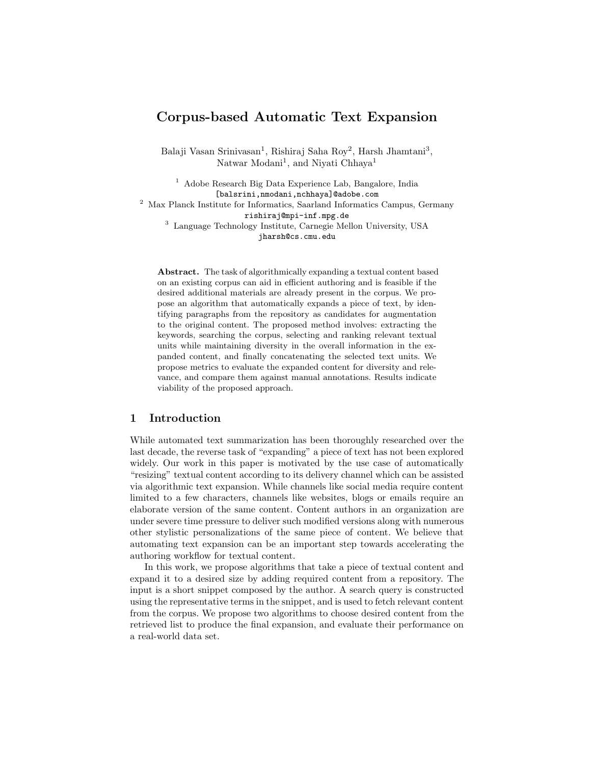# Corpus-based Automatic Text Expansion

Balaji Vasan Srinivasan<sup>1</sup>, Rishiraj Saha Roy<sup>2</sup>, Harsh Jhamtani<sup>3</sup>, Natwar Modani<sup>1</sup>, and Niyati Chhaya<sup>1</sup>

<sup>1</sup> Adobe Research Big Data Experience Lab, Bangalore, India [balsrini,nmodani,nchhaya]@adobe.com <sup>2</sup> Max Planck Institute for Informatics, Saarland Informatics Campus, Germany rishiraj@mpi-inf.mpg.de <sup>3</sup> Language Technology Institute, Carnegie Mellon University, USA jharsh@cs.cmu.edu

Abstract. The task of algorithmically expanding a textual content based on an existing corpus can aid in efficient authoring and is feasible if the desired additional materials are already present in the corpus. We propose an algorithm that automatically expands a piece of text, by identifying paragraphs from the repository as candidates for augmentation to the original content. The proposed method involves: extracting the keywords, searching the corpus, selecting and ranking relevant textual units while maintaining diversity in the overall information in the expanded content, and finally concatenating the selected text units. We propose metrics to evaluate the expanded content for diversity and relevance, and compare them against manual annotations. Results indicate viability of the proposed approach.

## 1 Introduction

While automated text summarization has been thoroughly researched over the last decade, the reverse task of "expanding" a piece of text has not been explored widely. Our work in this paper is motivated by the use case of automatically "resizing" textual content according to its delivery channel which can be assisted via algorithmic text expansion. While channels like social media require content limited to a few characters, channels like websites, blogs or emails require an elaborate version of the same content. Content authors in an organization are under severe time pressure to deliver such modified versions along with numerous other stylistic personalizations of the same piece of content. We believe that automating text expansion can be an important step towards accelerating the authoring workflow for textual content.

In this work, we propose algorithms that take a piece of textual content and expand it to a desired size by adding required content from a repository. The input is a short snippet composed by the author. A search query is constructed using the representative terms in the snippet, and is used to fetch relevant content from the corpus. We propose two algorithms to choose desired content from the retrieved list to produce the final expansion, and evaluate their performance on a real-world data set.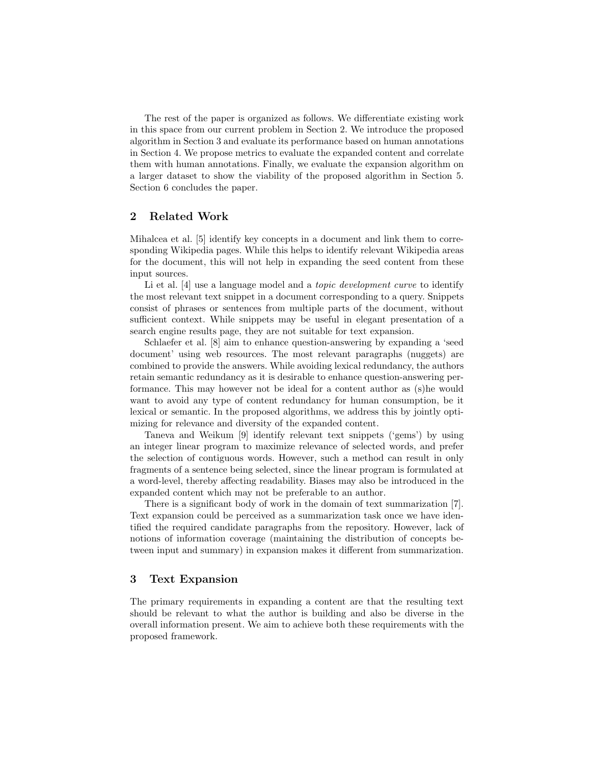The rest of the paper is organized as follows. We differentiate existing work in this space from our current problem in Section 2. We introduce the proposed algorithm in Section 3 and evaluate its performance based on human annotations in Section 4. We propose metrics to evaluate the expanded content and correlate them with human annotations. Finally, we evaluate the expansion algorithm on a larger dataset to show the viability of the proposed algorithm in Section 5. Section 6 concludes the paper.

### 2 Related Work

Mihalcea et al. [5] identify key concepts in a document and link them to corresponding Wikipedia pages. While this helps to identify relevant Wikipedia areas for the document, this will not help in expanding the seed content from these input sources.

Li et al. [4] use a language model and a *topic development curve* to identify the most relevant text snippet in a document corresponding to a query. Snippets consist of phrases or sentences from multiple parts of the document, without sufficient context. While snippets may be useful in elegant presentation of a search engine results page, they are not suitable for text expansion.

Schlaefer et al. [8] aim to enhance question-answering by expanding a 'seed document' using web resources. The most relevant paragraphs (nuggets) are combined to provide the answers. While avoiding lexical redundancy, the authors retain semantic redundancy as it is desirable to enhance question-answering performance. This may however not be ideal for a content author as (s)he would want to avoid any type of content redundancy for human consumption, be it lexical or semantic. In the proposed algorithms, we address this by jointly optimizing for relevance and diversity of the expanded content.

Taneva and Weikum [9] identify relevant text snippets ('gems') by using an integer linear program to maximize relevance of selected words, and prefer the selection of contiguous words. However, such a method can result in only fragments of a sentence being selected, since the linear program is formulated at a word-level, thereby affecting readability. Biases may also be introduced in the expanded content which may not be preferable to an author.

There is a significant body of work in the domain of text summarization [7]. Text expansion could be perceived as a summarization task once we have identified the required candidate paragraphs from the repository. However, lack of notions of information coverage (maintaining the distribution of concepts between input and summary) in expansion makes it different from summarization.

# 3 Text Expansion

The primary requirements in expanding a content are that the resulting text should be relevant to what the author is building and also be diverse in the overall information present. We aim to achieve both these requirements with the proposed framework.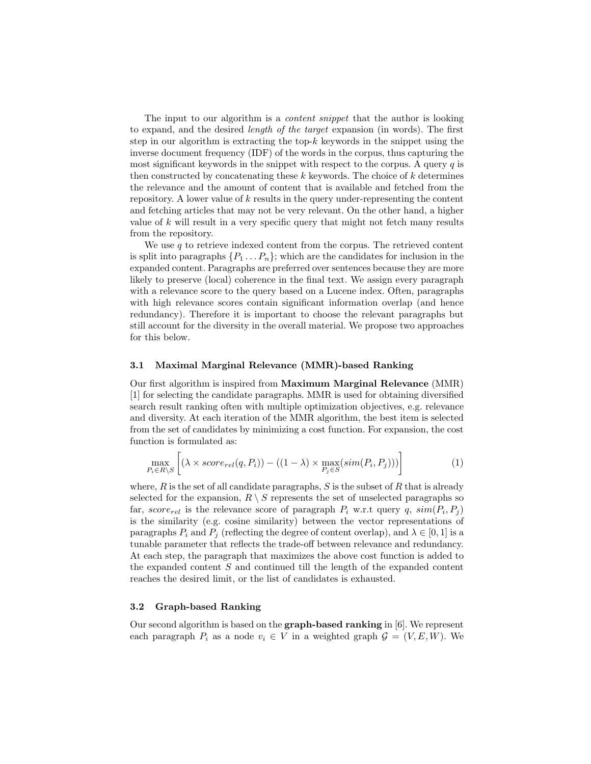The input to our algorithm is a *content snippet* that the author is looking to expand, and the desired length of the target expansion (in words). The first step in our algorithm is extracting the top- $k$  keywords in the snippet using the inverse document frequency (IDF) of the words in the corpus, thus capturing the most significant keywords in the snippet with respect to the corpus. A query  $q$  is then constructed by concatenating these  $k$  keywords. The choice of  $k$  determines the relevance and the amount of content that is available and fetched from the repository. A lower value of k results in the query under-representing the content and fetching articles that may not be very relevant. On the other hand, a higher value of  $k$  will result in a very specific query that might not fetch many results from the repository.

We use  $q$  to retrieve indexed content from the corpus. The retrieved content is split into paragraphs  $\{P_1 \ldots P_n\}$ ; which are the candidates for inclusion in the expanded content. Paragraphs are preferred over sentences because they are more likely to preserve (local) coherence in the final text. We assign every paragraph with a relevance score to the query based on a Lucene index. Often, paragraphs with high relevance scores contain significant information overlap (and hence redundancy). Therefore it is important to choose the relevant paragraphs but still account for the diversity in the overall material. We propose two approaches for this below.

#### 3.1 Maximal Marginal Relevance (MMR)-based Ranking

Our first algorithm is inspired from Maximum Marginal Relevance (MMR) [1] for selecting the candidate paragraphs. MMR is used for obtaining diversified search result ranking often with multiple optimization objectives, e.g. relevance and diversity. At each iteration of the MMR algorithm, the best item is selected from the set of candidates by minimizing a cost function. For expansion, the cost function is formulated as:

$$
\max_{P_i \in R \setminus S} \left[ (\lambda \times score_{rel}(q, P_i)) - ((1 - \lambda) \times \max_{P_j \in S} (sim(P_i, P_j))) \right]
$$
 (1)

where,  $R$  is the set of all candidate paragraphs,  $S$  is the subset of  $R$  that is already selected for the expansion,  $R \setminus S$  represents the set of unselected paragraphs so far, score<sub>rel</sub> is the relevance score of paragraph  $P_i$  w.r.t query q,  $sim(P_i, P_j)$ is the similarity (e.g. cosine similarity) between the vector representations of paragraphs  $P_i$  and  $P_j$  (reflecting the degree of content overlap), and  $\lambda \in [0,1]$  is a tunable parameter that reflects the trade-off between relevance and redundancy. At each step, the paragraph that maximizes the above cost function is added to the expanded content S and continued till the length of the expanded content reaches the desired limit, or the list of candidates is exhausted.

### 3.2 Graph-based Ranking

Our second algorithm is based on the graph-based ranking in [6]. We represent each paragraph  $P_i$  as a node  $v_i \in V$  in a weighted graph  $\mathcal{G} = (V, E, W)$ . We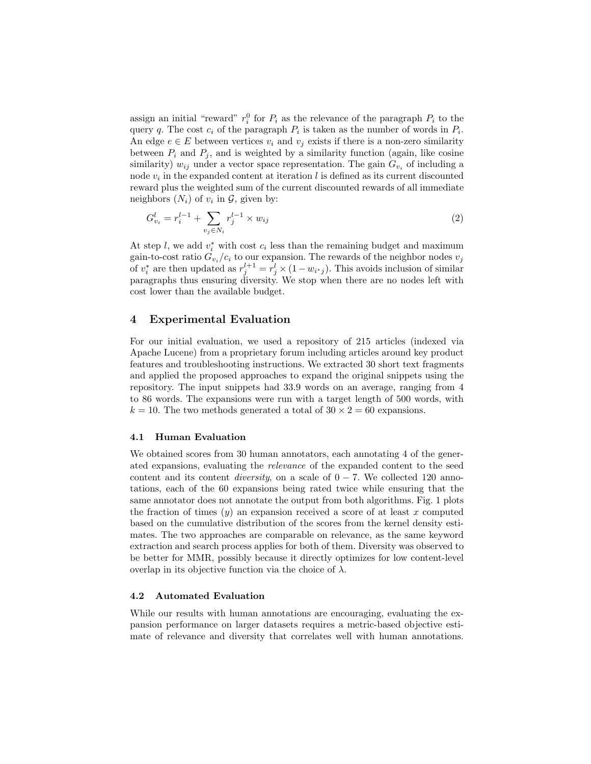assign an initial "reward"  $r_i^0$  for  $P_i$  as the relevance of the paragraph  $P_i$  to the query q. The cost  $c_i$  of the paragraph  $P_i$  is taken as the number of words in  $P_i$ . An edge  $e \in E$  between vertices  $v_i$  and  $v_j$  exists if there is a non-zero similarity between  $P_i$  and  $P_j$ , and is weighted by a similarity function (again, like cosine similarity)  $w_{ij}$  under a vector space representation. The gain  $G_{v_i}$  of including a node  $v_i$  in the expanded content at iteration  $l$  is defined as its current discounted reward plus the weighted sum of the current discounted rewards of all immediate neighbors  $(N_i)$  of  $v_i$  in  $\mathcal{G}$ , given by:

$$
G_{v_i}^l = r_i^{l-1} + \sum_{v_j \in N_i} r_j^{l-1} \times w_{ij}
$$
\n(2)

At step l, we add  $v_i^*$  with cost  $c_i$  less than the remaining budget and maximum gain-to-cost ratio  $G_{v_i}/c_i$  to our expansion. The rewards of the neighbor nodes  $v_j$ of  $v_i^*$  are then updated as  $r_j^{l+1} = r_j^l \times (1 - w_{i^*j})$ . This avoids inclusion of similar paragraphs thus ensuring diversity. We stop when there are no nodes left with cost lower than the available budget.

## 4 Experimental Evaluation

For our initial evaluation, we used a repository of 215 articles (indexed via Apache Lucene) from a proprietary forum including articles around key product features and troubleshooting instructions. We extracted 30 short text fragments and applied the proposed approaches to expand the original snippets using the repository. The input snippets had 33.9 words on an average, ranging from 4 to 86 words. The expansions were run with a target length of 500 words, with  $k = 10$ . The two methods generated a total of  $30 \times 2 = 60$  expansions.

#### 4.1 Human Evaluation

We obtained scores from 30 human annotators, each annotating 4 of the generated expansions, evaluating the relevance of the expanded content to the seed content and its content *diversity*, on a scale of  $0 - 7$ . We collected 120 annotations, each of the 60 expansions being rated twice while ensuring that the same annotator does not annotate the output from both algorithms. Fig. 1 plots the fraction of times  $(y)$  an expansion received a score of at least x computed based on the cumulative distribution of the scores from the kernel density estimates. The two approaches are comparable on relevance, as the same keyword extraction and search process applies for both of them. Diversity was observed to be better for MMR, possibly because it directly optimizes for low content-level overlap in its objective function via the choice of  $\lambda$ .

#### 4.2 Automated Evaluation

While our results with human annotations are encouraging, evaluating the expansion performance on larger datasets requires a metric-based objective estimate of relevance and diversity that correlates well with human annotations.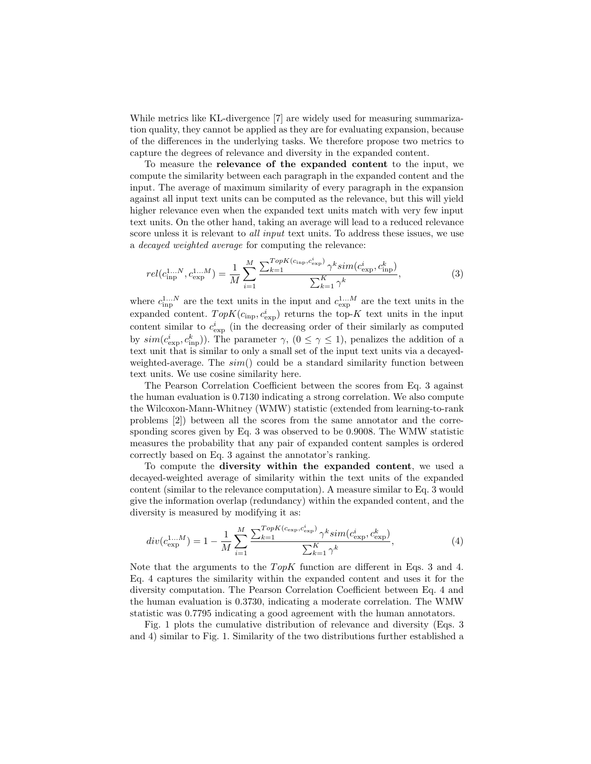While metrics like KL-divergence [7] are widely used for measuring summarization quality, they cannot be applied as they are for evaluating expansion, because of the differences in the underlying tasks. We therefore propose two metrics to capture the degrees of relevance and diversity in the expanded content.

To measure the relevance of the expanded content to the input, we compute the similarity between each paragraph in the expanded content and the input. The average of maximum similarity of every paragraph in the expansion against all input text units can be computed as the relevance, but this will yield higher relevance even when the expanded text units match with very few input text units. On the other hand, taking an average will lead to a reduced relevance score unless it is relevant to *all input* text units. To address these issues, we use a decayed weighted average for computing the relevance:

$$
rel(c_{\text{inp}}^{1...N}, c_{\text{exp}}^{1...M}) = \frac{1}{M} \sum_{i=1}^{M} \frac{\sum_{k=1}^{TopK(c_{\text{inp}}, c_{\text{exp}}^{i})} \gamma^{k} sim(c_{\text{exp}}^{i}, c_{\text{inp}}^{k})}{\sum_{k=1}^{K} \gamma^{k}},
$$
(3)

where  $c_{\rm inp}^{1...N}$  are the text units in the input and  $c_{\rm exp}^{1...M}$  are the text units in the expanded content.  $TopK(c_{\text{inp}}, c_{\text{exp}}^i)$  returns the top-K text units in the input content similar to  $c_{\exp}^i$  (in the decreasing order of their similarly as computed by  $\text{sim}(c_{\text{exp}}^i, c_{\text{inp}}^k)$ ). The parameter  $\gamma$ ,  $(0 \le \gamma \le 1)$ , penalizes the addition of a text unit that is similar to only a small set of the input text units via a decayedweighted-average. The  $sim()$  could be a standard similarity function between text units. We use cosine similarity here.

The Pearson Correlation Coefficient between the scores from Eq. 3 against the human evaluation is 0.7130 indicating a strong correlation. We also compute the Wilcoxon-Mann-Whitney (WMW) statistic (extended from learning-to-rank problems [2]) between all the scores from the same annotator and the corresponding scores given by Eq. 3 was observed to be 0.9008. The WMW statistic measures the probability that any pair of expanded content samples is ordered correctly based on Eq. 3 against the annotator's ranking.

To compute the diversity within the expanded content, we used a decayed-weighted average of similarity within the text units of the expanded content (similar to the relevance computation). A measure similar to Eq. 3 would give the information overlap (redundancy) within the expanded content, and the diversity is measured by modifying it as:

$$
div(c_{\exp}^{1...M}) = 1 - \frac{1}{M} \sum_{i=1}^{M} \frac{\sum_{k=1}^{TopK(c_{\exp}, c_{\exp}^i)} \gamma^k sim(c_{\exp}^i, c_{\exp}^k)}{\sum_{k=1}^{K} \gamma^k},
$$
(4)

Note that the arguments to the  $TopK$  function are different in Eqs. 3 and 4. Eq. 4 captures the similarity within the expanded content and uses it for the diversity computation. The Pearson Correlation Coefficient between Eq. 4 and the human evaluation is 0.3730, indicating a moderate correlation. The WMW statistic was 0.7795 indicating a good agreement with the human annotators.

Fig. 1 plots the cumulative distribution of relevance and diversity (Eqs. 3 and 4) similar to Fig. 1. Similarity of the two distributions further established a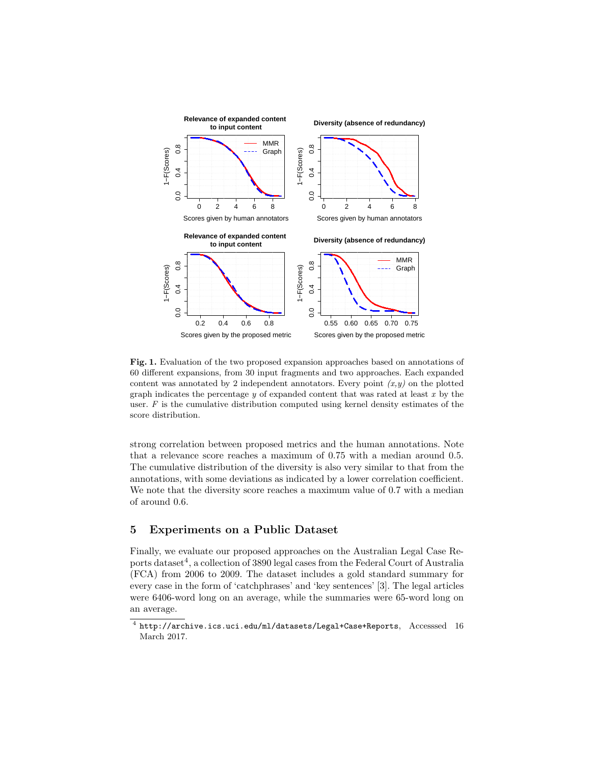

Fig. 1. Evaluation of the two proposed expansion approaches based on annotations of 60 different expansions, from 30 input fragments and two approaches. Each expanded content was annotated by 2 independent annotators. Every point  $(x,y)$  on the plotted graph indicates the percentage  $y$  of expanded content that was rated at least  $x$  by the user.  $F$  is the cumulative distribution computed using kernel density estimates of the score distribution.

strong correlation between proposed metrics and the human annotations. Note that a relevance score reaches a maximum of 0.75 with a median around 0.5. The cumulative distribution of the diversity is also very similar to that from the annotations, with some deviations as indicated by a lower correlation coefficient. We note that the diversity score reaches a maximum value of 0.7 with a median of around 0.6.

# 5 Experiments on a Public Dataset

Finally, we evaluate our proposed approaches on the Australian Legal Case Reports dataset<sup>4</sup>, a collection of 3890 legal cases from the Federal Court of Australia (FCA) from 2006 to 2009. The dataset includes a gold standard summary for every case in the form of 'catchphrases' and 'key sentences' [3]. The legal articles were 6406-word long on an average, while the summaries were 65-word long on an average.

 $^4$  http://archive.ics.uci.edu/ml/datasets/Legal+Case+Reports, Accesssed 16 March 2017.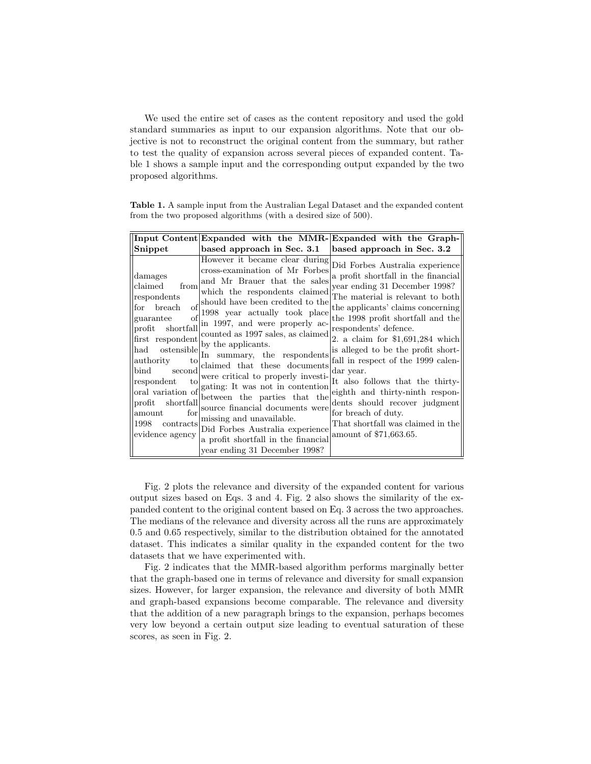We used the entire set of cases as the content repository and used the gold standard summaries as input to our expansion algorithms. Note that our objective is not to reconstruct the original content from the summary, but rather to test the quality of expansion across several pieces of expanded content. Table 1 shows a sample input and the corresponding output expanded by the two proposed algorithms.

Table 1. A sample input from the Australian Legal Dataset and the expanded content from the two proposed algorithms (with a desired size of 500).

| based approach in Sec. 3.1<br>based approach in Sec. 3.2<br>Snippet<br>However it became clear during<br>Did Forbes Australia experience<br>cross-examination of Mr Forbes<br>a profit shortfall in the financial<br>damages<br>and Mr Brauer that the sales<br>claimed<br>year ending 31 December 1998?<br>from<br>which the respondents claimed<br>The material is relevant to both<br>respondents<br>should have been credited to the<br>$\sigma$ f<br>the applicants' claims concerning<br><b>breach</b><br>for<br>1998 year actually took place<br>$\alpha$ f<br>the 1998 profit shortfall and the<br>guarantee<br>in 1997, and were properly ac-<br>shortfall<br>respondents' defence.<br>$\text{profit}$<br>counted as 1997 sales, as claimed<br>$\left  \text{first} \right $ respondent by the applicants.<br>2. a claim for $$1,691,284$ which<br>is alleged to be the profit short-<br>ostensible<br>In summary, the respondents<br>fall in respect of the 1999 calen-<br>authority<br>to<br>claimed that these documents<br>$_{\mathrm{bind}}$<br>second<br>dar year.<br>were critical to properly investi-<br>respondent<br>It also follows that the thirty-<br>$t_{\Omega}$<br>gating: It was not in contention<br>oral variation of<br>eighth and thirty-ninth respon-<br>between the parties that the<br>dents should recover judgment<br>$\operatorname{profit}$<br>shortfall<br>source financial documents were<br>for<br>for breach of duty.<br>amount<br>missing and unavailable.<br>That shortfall was claimed in the<br>1998<br>contracts<br>Did Forbes Australia experience<br>amount of \$71,663.65.<br>evidence agency<br>a profit shortfall in the financial |
|----------------------------------------------------------------------------------------------------------------------------------------------------------------------------------------------------------------------------------------------------------------------------------------------------------------------------------------------------------------------------------------------------------------------------------------------------------------------------------------------------------------------------------------------------------------------------------------------------------------------------------------------------------------------------------------------------------------------------------------------------------------------------------------------------------------------------------------------------------------------------------------------------------------------------------------------------------------------------------------------------------------------------------------------------------------------------------------------------------------------------------------------------------------------------------------------------------------------------------------------------------------------------------------------------------------------------------------------------------------------------------------------------------------------------------------------------------------------------------------------------------------------------------------------------------------------------------------------------------------------------------------------------------------------------------------|
|                                                                                                                                                                                                                                                                                                                                                                                                                                                                                                                                                                                                                                                                                                                                                                                                                                                                                                                                                                                                                                                                                                                                                                                                                                                                                                                                                                                                                                                                                                                                                                                                                                                                                        |
| year ending 31 December 1998?                                                                                                                                                                                                                                                                                                                                                                                                                                                                                                                                                                                                                                                                                                                                                                                                                                                                                                                                                                                                                                                                                                                                                                                                                                                                                                                                                                                                                                                                                                                                                                                                                                                          |

Fig. 2 plots the relevance and diversity of the expanded content for various output sizes based on Eqs. 3 and 4. Fig. 2 also shows the similarity of the expanded content to the original content based on Eq. 3 across the two approaches. The medians of the relevance and diversity across all the runs are approximately 0.5 and 0.65 respectively, similar to the distribution obtained for the annotated dataset. This indicates a similar quality in the expanded content for the two datasets that we have experimented with.

Fig. 2 indicates that the MMR-based algorithm performs marginally better that the graph-based one in terms of relevance and diversity for small expansion sizes. However, for larger expansion, the relevance and diversity of both MMR and graph-based expansions become comparable. The relevance and diversity that the addition of a new paragraph brings to the expansion, perhaps becomes very low beyond a certain output size leading to eventual saturation of these scores, as seen in Fig. 2.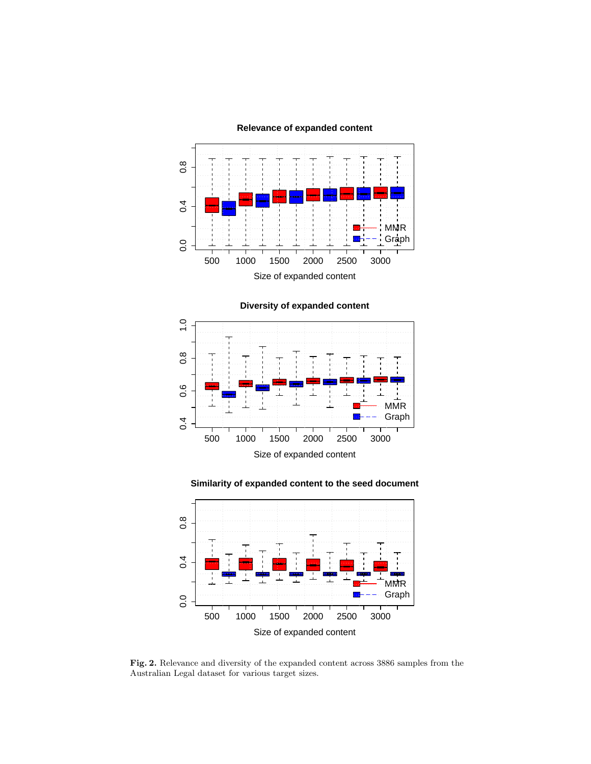**Relevance of expanded content**



**Diversity of expanded content**







Fig. 2. Relevance and diversity of the expanded content across 3886 samples from the Australian Legal dataset for various target sizes.